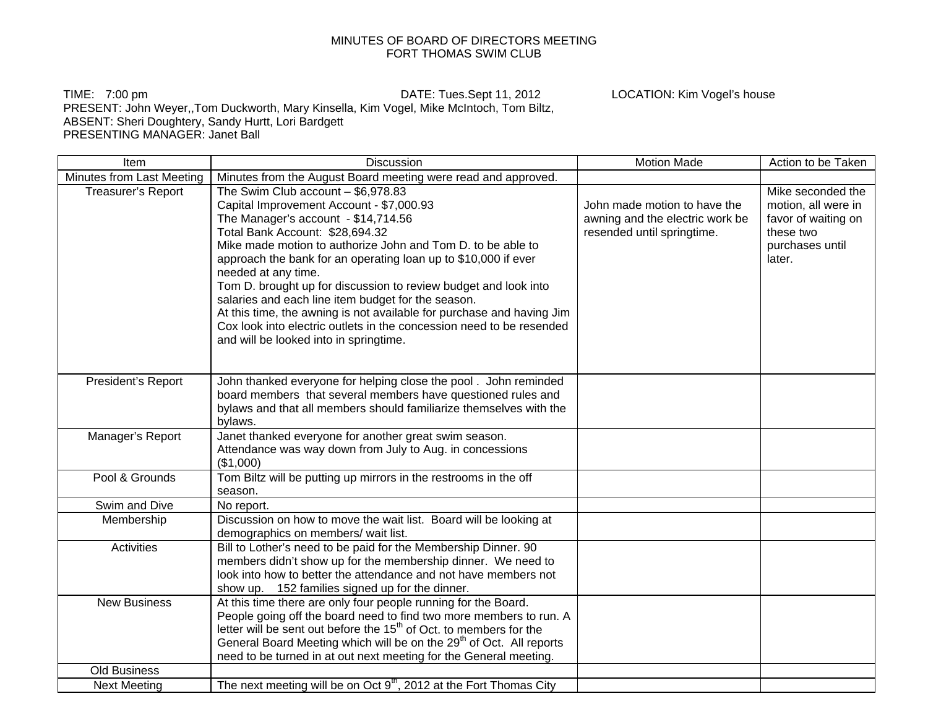## MINUTES OF BOARD OF DIRECTORS MEETING FORT THOMAS SWIM CLUB

TIME: 7:00 pm DATE: Tues.Sept 11, 2012 LOCATION: Kim Vogel's house PRESENT: John Weyer,,Tom Duckworth, Mary Kinsella, Kim Vogel, Mike McIntoch, Tom Biltz, ABSENT: Sheri Doughtery, Sandy Hurtt, Lori Bardgett PRESENTING MANAGER: Janet Ball

Item The Internal Motion Made Action to be Taken Number of the Discussion Contract of Action to be Taken and the Taken Minutes from Last Meeting  $\mid$  Minutes from the August Board meeting were read and approved. Treasurer's Report  $\vert$  The Swim Club account – \$6,978.83 Capital Improvement Account - \$7,000.93 The Manager's account - \$14,714.56 Total Bank Account: \$28,694.32 Mike made motion to authorize John and Tom D. to be able to approach the bank for an operating loan up to \$10,000 if ever needed at any time. Tom D. brought up for discussion to review budget and look into salaries and each line item budget for the season. At this time, the awning is not available for purchase and having Jim Cox look into electric outlets in the concession need to be resended and will be looked into in springtime. John made motion to have the awning and the electric work be resended until springtime. Mike seconded the motion, all were in favor of waiting on these two purchases until later. President's Report John thanked everyone for helping close the pool . John reminded board members that several members have questioned rules and bylaws and that all members should familiarize themselves with the bylaws. Manager's Report Janet thanked everyone for another great swim season. Attendance was way down from July to Aug. in concessions (\$1,000) Pool & Grounds Tom Biltz will be putting up mirrors in the restrooms in the off season. Swim and Dive | No report. Membership Discussion on how to move the wait list. Board will be looking at demographics on members/ wait list. Activities **Bill to Lother's need to be paid for the Membership Dinner. 90** members didn't show up for the membership dinner. We need to look into how to better the attendance and not have members not show up. 152 families signed up for the dinner. New Business  $\vert$  At this time there are only four people running for the Board. People going off the board need to find two more members to run. A letter will be sent out before the  $15<sup>th</sup>$  of Oct. to members for the General Board Meeting which will be on the 29<sup>th</sup> of Oct. All reports need to be turned in at out next meeting for the General meeting. Old Business Next Meeting The next meeting will be on Oct  $9<sup>th</sup>$ , 2012 at the Fort Thomas City